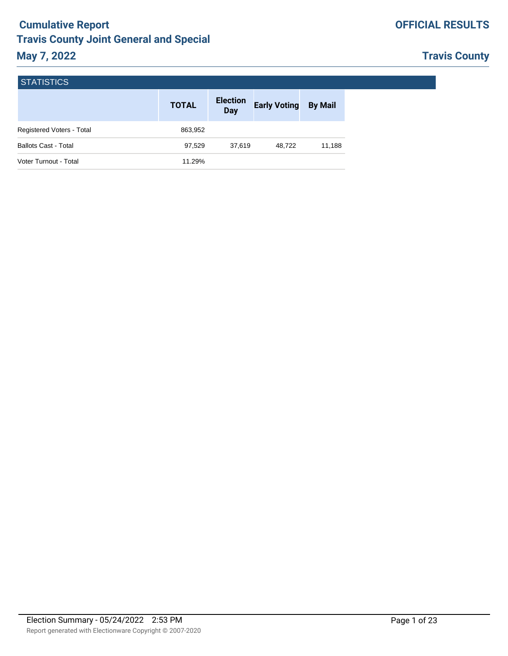# **Cumulative Report Travis County Joint General and Special May 7, 2022**

# **Travis County**

|                             | <b>TOTAL</b> | <b>Election</b><br><b>Day</b> | <b>Early Voting</b> | <b>By Mail</b> |
|-----------------------------|--------------|-------------------------------|---------------------|----------------|
| Registered Voters - Total   | 863,952      |                               |                     |                |
| <b>Ballots Cast - Total</b> | 97,529       | 37,619                        | 48.722              | 11,188         |
| Voter Turnout - Total       | 11.29%       |                               |                     |                |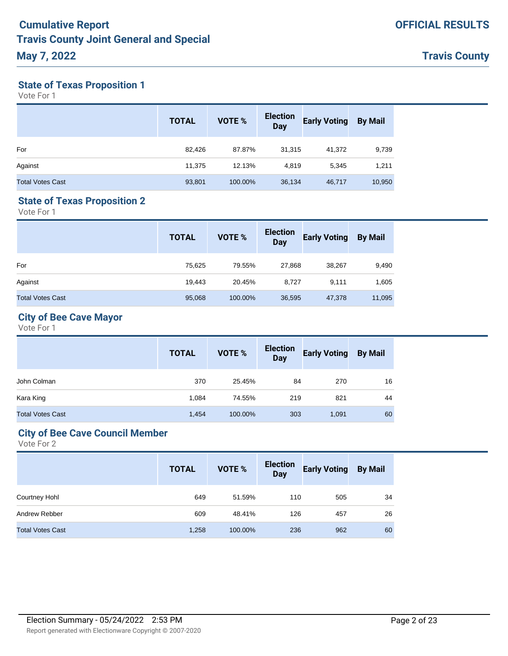## **State of Texas Proposition 1**

Vote For 1

|                         | <b>TOTAL</b> | <b>VOTE %</b> | <b>Election</b><br><b>Day</b> | <b>Early Voting</b> | <b>By Mail</b> |
|-------------------------|--------------|---------------|-------------------------------|---------------------|----------------|
| For                     | 82,426       | 87.87%        | 31,315                        | 41,372              | 9,739          |
| Against                 | 11.375       | 12.13%        | 4,819                         | 5,345               | 1,211          |
| <b>Total Votes Cast</b> | 93,801       | 100.00%       | 36,134                        | 46,717              | 10,950         |

#### **State of Texas Proposition 2**

Vote For 1

|                         | <b>TOTAL</b> | <b>VOTE %</b> | <b>Election</b><br><b>Day</b> | <b>Early Voting</b> | <b>By Mail</b> |
|-------------------------|--------------|---------------|-------------------------------|---------------------|----------------|
| For                     | 75,625       | 79.55%        | 27,868                        | 38,267              | 9,490          |
| Against                 | 19.443       | 20.45%        | 8,727                         | 9,111               | 1,605          |
| <b>Total Votes Cast</b> | 95,068       | 100.00%       | 36,595                        | 47,378              | 11,095         |

# **City of Bee Cave Mayor**

Vote For 1

|                         | <b>TOTAL</b> | <b>VOTE %</b> | <b>Election</b><br><b>Day</b> | <b>Early Voting By Mail</b> |    |
|-------------------------|--------------|---------------|-------------------------------|-----------------------------|----|
| John Colman             | 370          | 25.45%        | 84                            | 270                         | 16 |
| Kara King               | 1.084        | 74.55%        | 219                           | 821                         | 44 |
| <b>Total Votes Cast</b> | 1,454        | 100.00%       | 303                           | 1,091                       | 60 |

# **City of Bee Cave Council Member**

|                         | <b>TOTAL</b> | <b>VOTE %</b> | <b>Election</b><br><b>Day</b> | <b>Early Voting</b> | <b>By Mail</b> |
|-------------------------|--------------|---------------|-------------------------------|---------------------|----------------|
| <b>Courtney Hohl</b>    | 649          | 51.59%        | 110                           | 505                 | 34             |
| Andrew Rebber           | 609          | 48.41%        | 126                           | 457                 | 26             |
| <b>Total Votes Cast</b> | 1,258        | 100.00%       | 236                           | 962                 | 60             |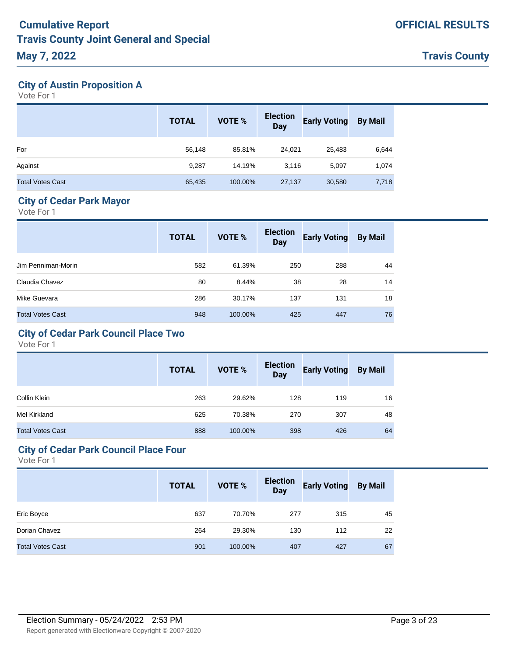## **City of Austin Proposition A**

Vote For 1

|                         | <b>TOTAL</b> | <b>VOTE %</b> | <b>Election</b><br><b>Day</b> | <b>Early Voting</b> | <b>By Mail</b> |
|-------------------------|--------------|---------------|-------------------------------|---------------------|----------------|
| For                     | 56,148       | 85.81%        | 24,021                        | 25,483              | 6,644          |
| Against                 | 9,287        | 14.19%        | 3,116                         | 5,097               | 1,074          |
| <b>Total Votes Cast</b> | 65,435       | 100.00%       | 27,137                        | 30,580              | 7,718          |

### **City of Cedar Park Mayor**

Vote For 1

|                         | <b>TOTAL</b> | <b>VOTE %</b> | <b>Election</b><br><b>Day</b> | <b>Early Voting</b> | <b>By Mail</b> |
|-------------------------|--------------|---------------|-------------------------------|---------------------|----------------|
| Jim Penniman-Morin      | 582          | 61.39%        | 250                           | 288                 | 44             |
| Claudia Chavez          | 80           | 8.44%         | 38                            | 28                  | 14             |
| Mike Guevara            | 286          | 30.17%        | 137                           | 131                 | 18             |
| <b>Total Votes Cast</b> | 948          | 100.00%       | 425                           | 447                 | 76             |

# **City of Cedar Park Council Place Two**

Vote For 1

|                         | <b>TOTAL</b> | VOTE %  | <b>Election</b><br><b>Day</b> | <b>Early Voting</b> | <b>By Mail</b> |
|-------------------------|--------------|---------|-------------------------------|---------------------|----------------|
| Collin Klein            | 263          | 29.62%  | 128                           | 119                 | 16             |
| Mel Kirkland            | 625          | 70.38%  | 270                           | 307                 | 48             |
| <b>Total Votes Cast</b> | 888          | 100.00% | 398                           | 426                 | 64             |

#### **City of Cedar Park Council Place Four**

|                         | <b>TOTAL</b> | <b>VOTE %</b> | <b>Election</b><br><b>Day</b> | <b>Early Voting</b> | <b>By Mail</b> |
|-------------------------|--------------|---------------|-------------------------------|---------------------|----------------|
| Eric Boyce              | 637          | 70.70%        | 277                           | 315                 | 45             |
| Dorian Chavez           | 264          | 29.30%        | 130                           | 112                 | 22             |
| <b>Total Votes Cast</b> | 901          | 100.00%       | 407                           | 427                 | 67             |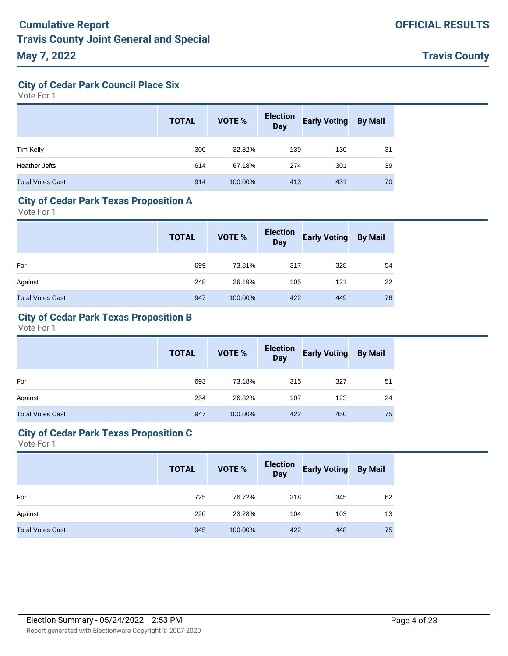# **City of Cedar Park Council Place Six**

Vote For 1

|                         | <b>TOTAL</b> | <b>VOTE %</b> | <b>Election</b><br><b>Day</b> | <b>Early Voting</b> | <b>By Mail</b> |
|-------------------------|--------------|---------------|-------------------------------|---------------------|----------------|
| Tim Kelly               | 300          | 32.82%        | 139                           | 130                 | 31             |
| <b>Heather Jefts</b>    | 614          | 67.18%        | 274                           | 301                 | 39             |
| <b>Total Votes Cast</b> | 914          | 100.00%       | 413                           | 431                 | 70             |

#### **City of Cedar Park Texas Proposition A**

Vote For 1

|                         | <b>TOTAL</b> | VOTE %  | <b>Election</b><br>Day | <b>Early Voting</b> | <b>By Mail</b> |
|-------------------------|--------------|---------|------------------------|---------------------|----------------|
| For                     | 699          | 73.81%  | 317                    | 328                 | 54             |
| Against                 | 248          | 26.19%  | 105                    | 121                 | 22             |
| <b>Total Votes Cast</b> | 947          | 100.00% | 422                    | 449                 | 76             |

## **City of Cedar Park Texas Proposition B**

Vote For 1

|                         | <b>TOTAL</b> | VOTE %  | <b>Election</b><br>Day | <b>Early Voting</b> | <b>By Mail</b> |
|-------------------------|--------------|---------|------------------------|---------------------|----------------|
| For                     | 693          | 73.18%  | 315                    | 327                 | 51             |
| Against                 | 254          | 26.82%  | 107                    | 123                 | 24             |
| <b>Total Votes Cast</b> | 947          | 100.00% | 422                    | 450                 | 75             |

#### **City of Cedar Park Texas Proposition C**

|                         | <b>TOTAL</b> | VOTE %  | <b>Election</b><br><b>Day</b> | <b>Early Voting</b> | <b>By Mail</b> |
|-------------------------|--------------|---------|-------------------------------|---------------------|----------------|
| For                     | 725          | 76.72%  | 318                           | 345                 | 62             |
| Against                 | 220          | 23.28%  | 104                           | 103                 | 13             |
| <b>Total Votes Cast</b> | 945          | 100.00% | 422                           | 448                 | 75             |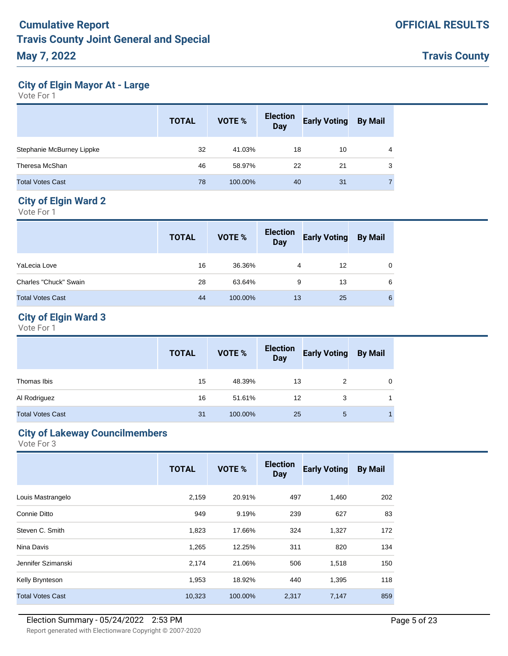## **City of Elgin Mayor At - Large**

Vote For 1

|                           | <b>TOTAL</b> | <b>VOTE %</b> | <b>Election</b><br><b>Day</b> | <b>Early Voting</b> | <b>By Mail</b> |
|---------------------------|--------------|---------------|-------------------------------|---------------------|----------------|
| Stephanie McBurney Lippke | 32           | 41.03%        | 18                            | 10                  | 4              |
| Theresa McShan            | 46           | 58.97%        | 22                            | 21                  | 3              |
| <b>Total Votes Cast</b>   | 78           | 100.00%       | 40                            | 31                  |                |

### **City of Elgin Ward 2**

Vote For 1

|                         | <b>TOTAL</b> | <b>VOTE %</b> | <b>Election</b><br><b>Day</b> | <b>Early Voting</b> | <b>By Mail</b> |
|-------------------------|--------------|---------------|-------------------------------|---------------------|----------------|
| YaLecia Love            | 16           | 36.36%        | 4                             | 12                  | $\Omega$       |
| Charles "Chuck" Swain   | 28           | 63.64%        | 9                             | 13                  | 6              |
| <b>Total Votes Cast</b> | 44           | 100.00%       | 13                            | 25                  | 6              |

# **City of Elgin Ward 3**

Vote For 1

|                         | <b>TOTAL</b> | <b>VOTE %</b> | <b>Election</b><br>Day | <b>Early Voting By Mail</b> |   |
|-------------------------|--------------|---------------|------------------------|-----------------------------|---|
| Thomas Ibis             | 15           | 48.39%        | 13                     | 2                           | 0 |
| Al Rodriguez            | 16           | 51.61%        | 12                     | 3                           |   |
| <b>Total Votes Cast</b> | 31           | 100.00%       | 25                     | 5                           |   |

#### **City of Lakeway Councilmembers**

|                         | <b>TOTAL</b> | VOTE %  | <b>Election</b><br><b>Day</b> | <b>Early Voting</b> | <b>By Mail</b> |
|-------------------------|--------------|---------|-------------------------------|---------------------|----------------|
| Louis Mastrangelo       | 2,159        | 20.91%  | 497                           | 1,460               | 202            |
| Connie Ditto            | 949          | 9.19%   | 239                           | 627                 | 83             |
| Steven C. Smith         | 1,823        | 17.66%  | 324                           | 1,327               | 172            |
| Nina Davis              | 1,265        | 12.25%  | 311                           | 820                 | 134            |
| Jennifer Szimanski      | 2,174        | 21.06%  | 506                           | 1,518               | 150            |
| Kelly Brynteson         | 1,953        | 18.92%  | 440                           | 1,395               | 118            |
| <b>Total Votes Cast</b> | 10,323       | 100.00% | 2,317                         | 7,147               | 859            |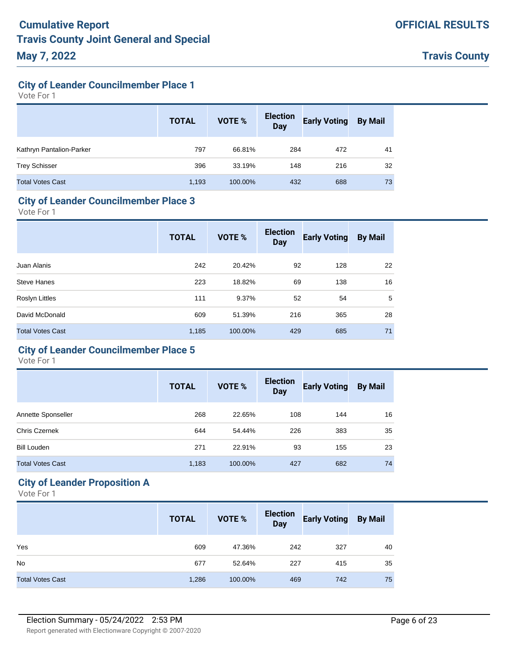**City of Leander Councilmember Place 1**

Vote For 1

|                          | <b>TOTAL</b> | <b>VOTE %</b> | <b>Election</b><br><b>Day</b> | <b>Early Voting</b> | <b>By Mail</b> |
|--------------------------|--------------|---------------|-------------------------------|---------------------|----------------|
| Kathryn Pantalion-Parker | 797          | 66.81%        | 284                           | 472                 | 41             |
| <b>Trey Schisser</b>     | 396          | 33.19%        | 148                           | 216                 | 32             |
| <b>Total Votes Cast</b>  | 1,193        | 100.00%       | 432                           | 688                 | 73             |

#### **City of Leander Councilmember Place 3**

Vote For 1

|                         | <b>TOTAL</b> | VOTE %  | <b>Election</b><br><b>Day</b> | <b>Early Voting</b> | <b>By Mail</b> |
|-------------------------|--------------|---------|-------------------------------|---------------------|----------------|
| Juan Alanis             | 242          | 20.42%  | 92                            | 128                 | 22             |
| <b>Steve Hanes</b>      | 223          | 18.82%  | 69                            | 138                 | 16             |
| Roslyn Littles          | 111          | 9.37%   | 52                            | 54                  | 5              |
| David McDonald          | 609          | 51.39%  | 216                           | 365                 | 28             |
| <b>Total Votes Cast</b> | 1,185        | 100.00% | 429                           | 685                 | 71             |

## **City of Leander Councilmember Place 5**

Vote For 1

|                         | <b>TOTAL</b> | VOTE %  | <b>Election</b><br><b>Day</b> | <b>Early Voting</b> | <b>By Mail</b> |
|-------------------------|--------------|---------|-------------------------------|---------------------|----------------|
| Annette Sponseller      | 268          | 22.65%  | 108                           | 144                 | 16             |
| <b>Chris Czernek</b>    | 644          | 54.44%  | 226                           | 383                 | 35             |
| <b>Bill Louden</b>      | 271          | 22.91%  | 93                            | 155                 | 23             |
| <b>Total Votes Cast</b> | 1,183        | 100.00% | 427                           | 682                 | 74             |

# **City of Leander Proposition A**

|                         | <b>TOTAL</b> | <b>VOTE %</b> | <b>Election</b><br><b>Day</b> | <b>Early Voting</b> | <b>By Mail</b> |
|-------------------------|--------------|---------------|-------------------------------|---------------------|----------------|
| Yes                     | 609          | 47.36%        | 242                           | 327                 | 40             |
| <b>No</b>               | 677          | 52.64%        | 227                           | 415                 | 35             |
| <b>Total Votes Cast</b> | 1,286        | 100.00%       | 469                           | 742                 | 75             |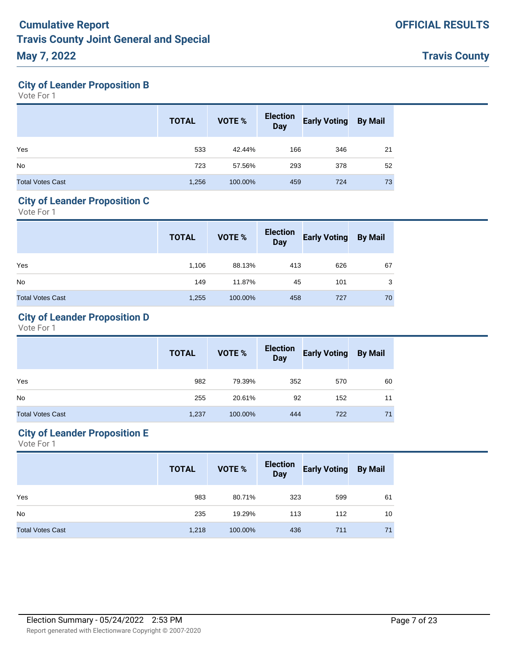## **City of Leander Proposition B**

Vote For 1

|                         | <b>TOTAL</b> | <b>VOTE %</b> | <b>Election</b><br><b>Day</b> | <b>Early Voting</b> | <b>By Mail</b> |
|-------------------------|--------------|---------------|-------------------------------|---------------------|----------------|
| Yes                     | 533          | 42.44%        | 166                           | 346                 | 21             |
| <b>No</b>               | 723          | 57.56%        | 293                           | 378                 | 52             |
| <b>Total Votes Cast</b> | 1,256        | 100.00%       | 459                           | 724                 | 73             |

#### **City of Leander Proposition C**

Vote For 1

|                         | <b>TOTAL</b> | VOTE %  | Election<br>Day | <b>Early Voting By Mail</b> |    |
|-------------------------|--------------|---------|-----------------|-----------------------------|----|
| Yes                     | 1,106        | 88.13%  | 413             | 626                         | 67 |
| N <sub>o</sub>          | 149          | 11.87%  | 45              | 101                         | 3  |
| <b>Total Votes Cast</b> | 1,255        | 100.00% | 458             | 727                         | 70 |

### **City of Leander Proposition D**

Vote For 1

|                         | <b>TOTAL</b> | VOTE %  | <b>Election</b><br>Day | <b>Early Voting By Mail</b> |    |
|-------------------------|--------------|---------|------------------------|-----------------------------|----|
| Yes                     | 982          | 79.39%  | 352                    | 570                         | 60 |
| <b>No</b>               | 255          | 20.61%  | 92                     | 152                         | 11 |
| <b>Total Votes Cast</b> | 1,237        | 100.00% | 444                    | 722                         | 71 |

# **City of Leander Proposition E**

|                         | <b>TOTAL</b> | VOTE %  | <b>Election</b><br>Day | <b>Early Voting</b> | <b>By Mail</b> |
|-------------------------|--------------|---------|------------------------|---------------------|----------------|
| Yes                     | 983          | 80.71%  | 323                    | 599                 | 61             |
| <b>No</b>               | 235          | 19.29%  | 113                    | 112                 | 10             |
| <b>Total Votes Cast</b> | 1,218        | 100.00% | 436                    | 711                 | 71             |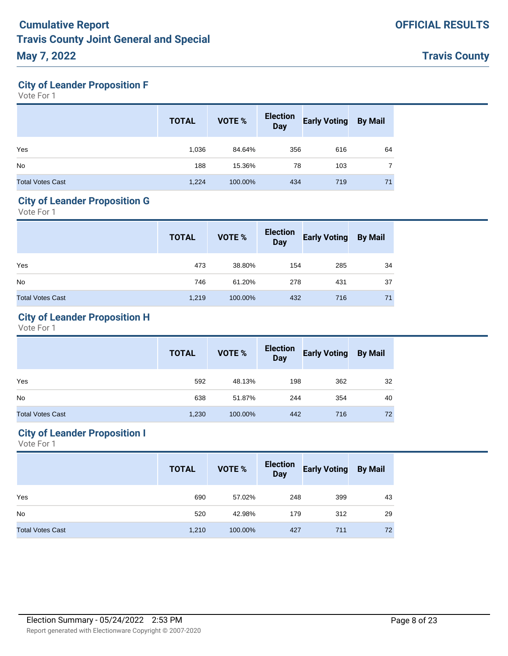## **City of Leander Proposition F**

Vote For 1

|                         | <b>TOTAL</b> | VOTE %  | <b>Election</b><br>Day | <b>Early Voting</b> | <b>By Mail</b> |
|-------------------------|--------------|---------|------------------------|---------------------|----------------|
| Yes                     | 1,036        | 84.64%  | 356                    | 616                 | 64             |
| <b>No</b>               | 188          | 15.36%  | 78                     | 103                 |                |
| <b>Total Votes Cast</b> | 1,224        | 100.00% | 434                    | 719                 | 71             |

#### **City of Leander Proposition G**

Vote For 1

|                         | <b>TOTAL</b> | VOTE %  | <b>Election</b><br><b>Day</b> | <b>Early Voting</b> | <b>By Mail</b> |
|-------------------------|--------------|---------|-------------------------------|---------------------|----------------|
| Yes                     | 473          | 38.80%  | 154                           | 285                 | 34             |
| N <sub>o</sub>          | 746          | 61.20%  | 278                           | 431                 | 37             |
| <b>Total Votes Cast</b> | 1,219        | 100.00% | 432                           | 716                 | 71             |

## **City of Leander Proposition H**

Vote For 1

|                         | <b>TOTAL</b> | VOTE %  | <b>Election</b><br><b>Day</b> | <b>Early Voting By Mail</b> |    |
|-------------------------|--------------|---------|-------------------------------|-----------------------------|----|
| Yes                     | 592          | 48.13%  | 198                           | 362                         | 32 |
| <b>No</b>               | 638          | 51.87%  | 244                           | 354                         | 40 |
| <b>Total Votes Cast</b> | 1,230        | 100.00% | 442                           | 716                         | 72 |

# **City of Leander Proposition I**

|                         | <b>TOTAL</b> | VOTE %  | <b>Election</b><br>Day | <b>Early Voting</b> | <b>By Mail</b> |
|-------------------------|--------------|---------|------------------------|---------------------|----------------|
| Yes                     | 690          | 57.02%  | 248                    | 399                 | 43             |
| <b>No</b>               | 520          | 42.98%  | 179                    | 312                 | 29             |
| <b>Total Votes Cast</b> | 1,210        | 100.00% | 427                    | 711                 | 72             |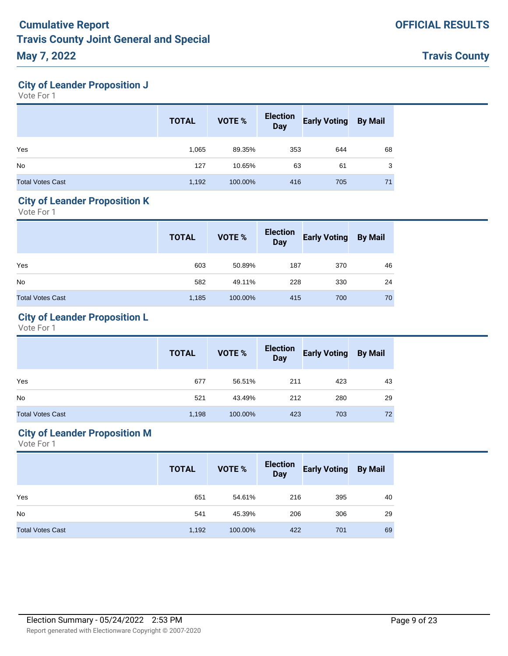**City of Leander Proposition J**

Vote For 1

|                         | <b>TOTAL</b> | VOTE %  | <b>Election</b><br><b>Day</b> | <b>Early Voting</b> | <b>By Mail</b> |
|-------------------------|--------------|---------|-------------------------------|---------------------|----------------|
| Yes                     | 1,065        | 89.35%  | 353                           | 644                 | 68             |
| <b>No</b>               | 127          | 10.65%  | 63                            | 61                  | 3              |
| <b>Total Votes Cast</b> | 1,192        | 100.00% | 416                           | 705                 | 71             |

#### **City of Leander Proposition K**

Vote For 1

|                         | <b>TOTAL</b> | VOTE %  | <b>Election</b><br><b>Day</b> | <b>Early Voting By Mail</b> |    |
|-------------------------|--------------|---------|-------------------------------|-----------------------------|----|
| Yes                     | 603          | 50.89%  | 187                           | 370                         | 46 |
| <b>No</b>               | 582          | 49.11%  | 228                           | 330                         | 24 |
| <b>Total Votes Cast</b> | 1,185        | 100.00% | 415                           | 700                         | 70 |

### **City of Leander Proposition L**

Vote For 1

|                         | <b>TOTAL</b> | VOTE %  | <b>Election</b><br>Day | <b>Early Voting By Mail</b> |    |
|-------------------------|--------------|---------|------------------------|-----------------------------|----|
| Yes                     | 677          | 56.51%  | 211                    | 423                         | 43 |
| <b>No</b>               | 521          | 43.49%  | 212                    | 280                         | 29 |
| <b>Total Votes Cast</b> | 1,198        | 100.00% | 423                    | 703                         | 72 |

# **City of Leander Proposition M**

|                         | <b>TOTAL</b> | <b>VOTE %</b> | <b>Election</b><br>Day | <b>Early Voting</b> | <b>By Mail</b> |
|-------------------------|--------------|---------------|------------------------|---------------------|----------------|
| Yes                     | 651          | 54.61%        | 216                    | 395                 | 40             |
| <b>No</b>               | 541          | 45.39%        | 206                    | 306                 | 29             |
| <b>Total Votes Cast</b> | 1,192        | 100.00%       | 422                    | 701                 | 69             |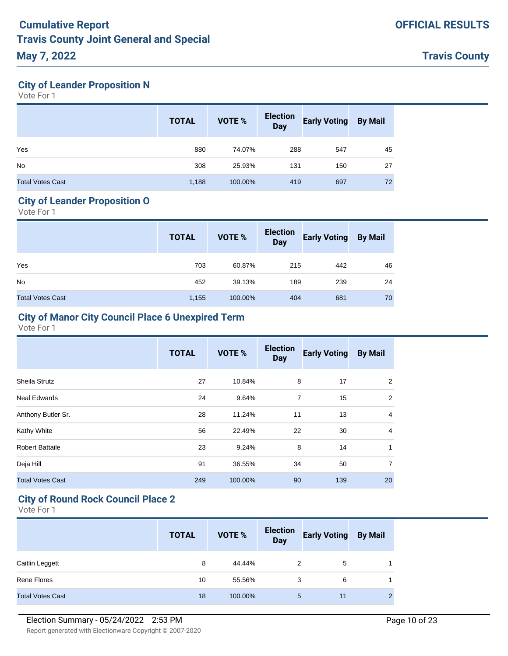#### **City of Leander Proposition N**

Vote For 1

|                         | <b>TOTAL</b> | VOTE %  | <b>Election</b><br><b>Day</b> | <b>Early Voting</b> | <b>By Mail</b> |
|-------------------------|--------------|---------|-------------------------------|---------------------|----------------|
| Yes                     | 880          | 74.07%  | 288                           | 547                 | 45             |
| <b>No</b>               | 308          | 25.93%  | 131                           | 150                 | 27             |
| <b>Total Votes Cast</b> | 1,188        | 100.00% | 419                           | 697                 | 72             |

#### **City of Leander Proposition O**

Vote For 1

|                         | <b>TOTAL</b> | VOTE %  | <b>Election</b><br><b>Day</b> | <b>Early Voting</b> | <b>By Mail</b> |
|-------------------------|--------------|---------|-------------------------------|---------------------|----------------|
| Yes                     | 703          | 60.87%  | 215                           | 442                 | 46             |
| <b>No</b>               | 452          | 39.13%  | 189                           | 239                 | 24             |
| <b>Total Votes Cast</b> | 1,155        | 100.00% | 404                           | 681                 | 70             |

### **City of Manor City Council Place 6 Unexpired Term**

Vote For 1

|                         | <b>TOTAL</b> | VOTE %  | <b>Election</b><br><b>Day</b> | <b>Early Voting</b> | <b>By Mail</b> |
|-------------------------|--------------|---------|-------------------------------|---------------------|----------------|
| Sheila Strutz           | 27           | 10.84%  | 8                             | 17                  | 2              |
| <b>Neal Edwards</b>     | 24           | 9.64%   | $\overline{7}$                | 15                  | $\overline{2}$ |
| Anthony Butler Sr.      | 28           | 11.24%  | 11                            | 13                  | $\overline{4}$ |
| Kathy White             | 56           | 22.49%  | 22                            | 30                  | $\overline{4}$ |
| <b>Robert Battaile</b>  | 23           | 9.24%   | 8                             | 14                  | 1              |
| Deja Hill               | 91           | 36.55%  | 34                            | 50                  | 7              |
| <b>Total Votes Cast</b> | 249          | 100.00% | 90                            | 139                 | 20             |

## **City of Round Rock Council Place 2**

|                         | <b>TOTAL</b> | <b>VOTE %</b> | <b>Election</b><br><b>Day</b> | <b>Early Voting By Mail</b> |                |
|-------------------------|--------------|---------------|-------------------------------|-----------------------------|----------------|
| Caitlin Leggett         | 8            | 44.44%        | 2                             | 5                           |                |
| Rene Flores             | 10           | 55.56%        | 3                             | 6                           |                |
| <b>Total Votes Cast</b> | 18           | 100.00%       | 5                             | 11                          | $\overline{2}$ |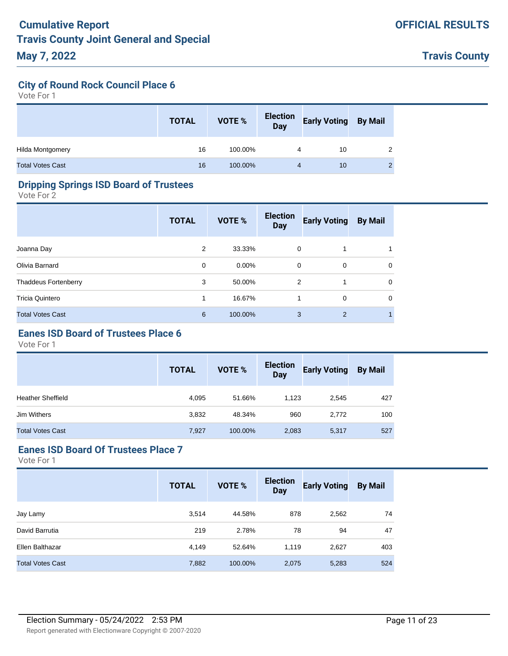### **City of Round Rock Council Place 6**

Vote For 1

|                         | <b>TOTAL</b> | <b>VOTE %</b> | <b>Election</b><br><b>Day</b> | <b>Early Voting By Mail</b> |   |
|-------------------------|--------------|---------------|-------------------------------|-----------------------------|---|
| Hilda Montgomery        | 16           | 100.00%       | 4                             | 10                          |   |
| <b>Total Votes Cast</b> | 16           | 100.00%       | 4                             | 10                          | C |

#### **Dripping Springs ISD Board of Trustees**

Vote For 2

|                             | <b>TOTAL</b> | <b>VOTE %</b> | <b>Election</b><br><b>Day</b> | <b>Early Voting</b> | <b>By Mail</b> |
|-----------------------------|--------------|---------------|-------------------------------|---------------------|----------------|
| Joanna Day                  | 2            | 33.33%        | $\mathbf 0$                   |                     |                |
| Olivia Barnard              | $\mathbf 0$  | $0.00\%$      | $\mathbf 0$                   | 0                   | $\mathbf 0$    |
| <b>Thaddeus Fortenberry</b> | 3            | 50.00%        | 2                             | 1                   | $\mathbf 0$    |
| Tricia Quintero             | 1            | 16.67%        | 1                             | 0                   | $\mathbf 0$    |
| <b>Total Votes Cast</b>     | 6            | 100.00%       | 3                             | 2                   |                |

# **Eanes ISD Board of Trustees Place 6**

Vote For 1

|                          | <b>TOTAL</b> | <b>VOTE %</b> | <b>Election</b><br><b>Day</b> | <b>Early Voting</b> | <b>By Mail</b> |
|--------------------------|--------------|---------------|-------------------------------|---------------------|----------------|
| <b>Heather Sheffield</b> | 4,095        | 51.66%        | 1,123                         | 2,545               | 427            |
| <b>Jim Withers</b>       | 3,832        | 48.34%        | 960                           | 2.772               | 100            |
| <b>Total Votes Cast</b>  | 7,927        | 100.00%       | 2,083                         | 5,317               | 527            |

#### **Eanes ISD Board Of Trustees Place 7**

|                         | <b>TOTAL</b> | VOTE %  | <b>Election</b><br><b>Day</b> | <b>Early Voting</b> | <b>By Mail</b> |
|-------------------------|--------------|---------|-------------------------------|---------------------|----------------|
| Jay Lamy                | 3,514        | 44.58%  | 878                           | 2,562               | 74             |
| David Barrutia          | 219          | 2.78%   | 78                            | 94                  | 47             |
| Ellen Balthazar         | 4,149        | 52.64%  | 1.119                         | 2,627               | 403            |
| <b>Total Votes Cast</b> | 7,882        | 100.00% | 2,075                         | 5,283               | 524            |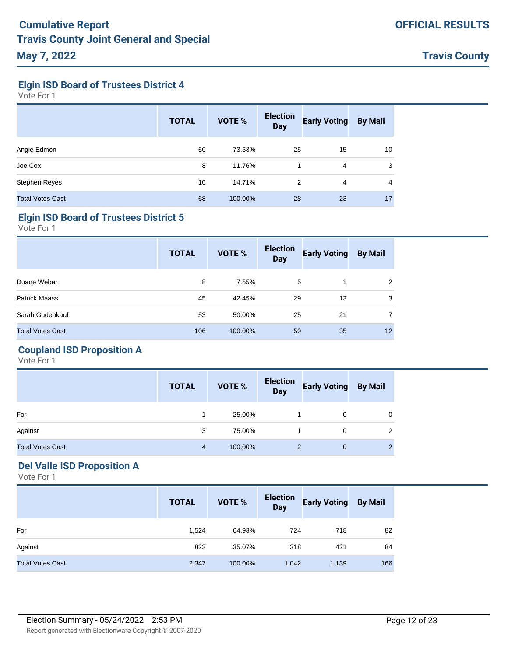**Elgin ISD Board of Trustees District 4**

Vote For 1

|                         | <b>TOTAL</b> | <b>VOTE %</b> | <b>Election</b><br><b>Day</b> | <b>Early Voting</b> | <b>By Mail</b> |
|-------------------------|--------------|---------------|-------------------------------|---------------------|----------------|
| Angie Edmon             | 50           | 73.53%        | 25                            | 15                  | 10             |
| Joe Cox                 | 8            | 11.76%        | 1                             | 4                   | 3              |
| Stephen Reyes           | 10           | 14.71%        | 2                             | 4                   | 4              |
| <b>Total Votes Cast</b> | 68           | 100.00%       | 28                            | 23                  | 17             |

#### **Elgin ISD Board of Trustees District 5**

Vote For 1

|                         | <b>TOTAL</b> | <b>VOTE %</b> | <b>Election</b><br><b>Day</b> | <b>Early Voting</b> | <b>By Mail</b>  |
|-------------------------|--------------|---------------|-------------------------------|---------------------|-----------------|
| Duane Weber             | 8            | 7.55%         | 5                             |                     | 2               |
| <b>Patrick Maass</b>    | 45           | 42.45%        | 29                            | 13                  | 3               |
| Sarah Gudenkauf         | 53           | 50.00%        | 25                            | 21                  | 7               |
| <b>Total Votes Cast</b> | 106          | 100.00%       | 59                            | 35                  | 12 <sup>2</sup> |

# **Coupland ISD Proposition A**

Vote For 1

|                         | <b>TOTAL</b>   | VOTE %  | Election<br>Day          | <b>Early Voting By Mail</b> |               |
|-------------------------|----------------|---------|--------------------------|-----------------------------|---------------|
| For                     |                | 25.00%  |                          | 0                           | 0             |
| Against                 | 3              | 75.00%  |                          | 0                           | 2             |
| <b>Total Votes Cast</b> | $\overline{4}$ | 100.00% | $\overline{\phantom{a}}$ | $\mathbf 0$                 | $\mathcal{P}$ |

### **Del Valle ISD Proposition A**

|                         | <b>TOTAL</b> | <b>VOTE %</b> | <b>Election</b><br><b>Day</b> | <b>Early Voting</b> | <b>By Mail</b> |
|-------------------------|--------------|---------------|-------------------------------|---------------------|----------------|
| For                     | 1,524        | 64.93%        | 724                           | 718                 | 82             |
| Against                 | 823          | 35.07%        | 318                           | 421                 | 84             |
| <b>Total Votes Cast</b> | 2,347        | 100.00%       | 1,042                         | 1,139               | 166            |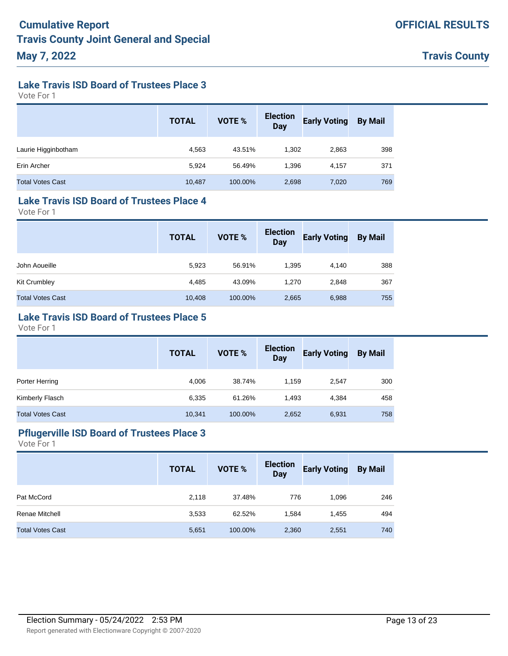## **Lake Travis ISD Board of Trustees Place 3**

Vote For 1

|                         | <b>TOTAL</b> | <b>VOTE %</b> | <b>Election</b><br><b>Day</b> | <b>Early Voting</b> | <b>By Mail</b> |
|-------------------------|--------------|---------------|-------------------------------|---------------------|----------------|
| Laurie Higginbotham     | 4,563        | 43.51%        | 1,302                         | 2,863               | 398            |
| Erin Archer             | 5,924        | 56.49%        | 1,396                         | 4,157               | 371            |
| <b>Total Votes Cast</b> | 10,487       | 100.00%       | 2,698                         | 7,020               | 769            |

#### **Lake Travis ISD Board of Trustees Place 4**

Vote For 1

|                         | <b>TOTAL</b> | VOTE %  | <b>Election</b><br><b>Day</b> | <b>Early Voting</b> | <b>By Mail</b> |
|-------------------------|--------------|---------|-------------------------------|---------------------|----------------|
| John Aoueille           | 5,923        | 56.91%  | 1.395                         | 4,140               | 388            |
| Kit Crumbley            | 4,485        | 43.09%  | 1,270                         | 2,848               | 367            |
| <b>Total Votes Cast</b> | 10,408       | 100.00% | 2,665                         | 6,988               | 755            |

# **Lake Travis ISD Board of Trustees Place 5**

Vote For 1

|                         | <b>TOTAL</b> | <b>VOTE %</b> | <b>Election</b><br><b>Day</b> | <b>Early Voting</b> | <b>By Mail</b> |
|-------------------------|--------------|---------------|-------------------------------|---------------------|----------------|
| Porter Herring          | 4.006        | 38.74%        | 1.159                         | 2,547               | 300            |
| Kimberly Flasch         | 6,335        | 61.26%        | 1.493                         | 4,384               | 458            |
| <b>Total Votes Cast</b> | 10,341       | 100.00%       | 2,652                         | 6,931               | 758            |

### **Pflugerville ISD Board of Trustees Place 3**

|                         | <b>TOTAL</b> | <b>VOTE %</b> | <b>Election</b><br><b>Day</b> | <b>Early Voting</b> | <b>By Mail</b> |
|-------------------------|--------------|---------------|-------------------------------|---------------------|----------------|
| Pat McCord              | 2,118        | 37.48%        | 776                           | 1,096               | 246            |
| Renae Mitchell          | 3,533        | 62.52%        | 1,584                         | 1,455               | 494            |
| <b>Total Votes Cast</b> | 5,651        | 100.00%       | 2,360                         | 2,551               | 740            |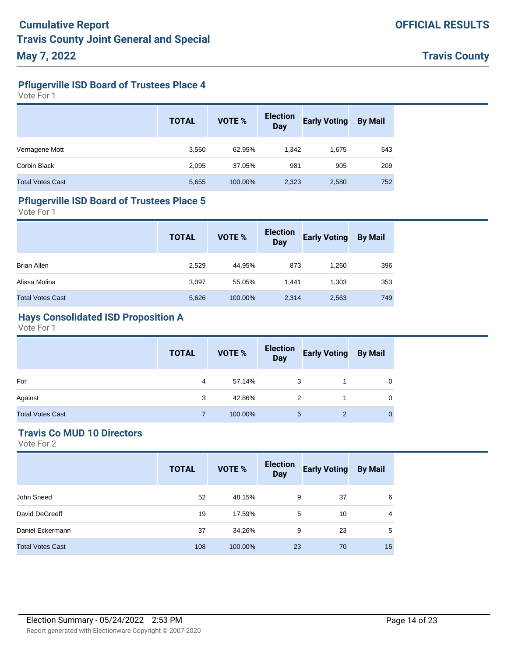# **Pflugerville ISD Board of Trustees Place 4**

Vote For 1

|                         | <b>TOTAL</b> | <b>VOTE %</b> | <b>Election</b><br><b>Day</b> | <b>Early Voting</b> | <b>By Mail</b> |
|-------------------------|--------------|---------------|-------------------------------|---------------------|----------------|
| Vernagene Mott          | 3,560        | 62.95%        | 1.342                         | 1,675               | 543            |
| Corbin Black            | 2,095        | 37.05%        | 981                           | 905                 | 209            |
| <b>Total Votes Cast</b> | 5,655        | 100.00%       | 2,323                         | 2,580               | 752            |

#### **Pflugerville ISD Board of Trustees Place 5**

Vote For 1

|                         | <b>TOTAL</b> | <b>VOTE %</b> | <b>Election</b><br><b>Day</b> | <b>Early Voting</b> | <b>By Mail</b> |
|-------------------------|--------------|---------------|-------------------------------|---------------------|----------------|
| <b>Brian Allen</b>      | 2,529        | 44.95%        | 873                           | 1,260               | 396            |
| Alissa Molina           | 3,097        | 55.05%        | 1.441                         | 1,303               | 353            |
| <b>Total Votes Cast</b> | 5,626        | 100.00%       | 2,314                         | 2,563               | 749            |

### **Hays Consolidated ISD Proposition A**

Vote For 1

|                         | <b>TOTAL</b> | VOTE %  | Election<br>Day | <b>Early Voting By Mail</b> |              |
|-------------------------|--------------|---------|-----------------|-----------------------------|--------------|
| For                     | 4            | 57.14%  | 3               |                             | 0            |
| Against                 | 3            | 42.86%  | 2               |                             | 0            |
| <b>Total Votes Cast</b> |              | 100.00% | 5               | 2                           | $\mathbf{0}$ |

#### **Travis Co MUD 10 Directors**

|                         | <b>TOTAL</b> | <b>VOTE %</b> | <b>Election</b><br><b>Day</b> | <b>Early Voting</b> | <b>By Mail</b> |
|-------------------------|--------------|---------------|-------------------------------|---------------------|----------------|
| John Sneed              | 52           | 48.15%        | 9                             | 37                  | 6              |
| David DeGreeff          | 19           | 17.59%        | 5                             | 10                  | 4              |
| Daniel Eckermann        | 37           | 34.26%        | 9                             | 23                  | 5              |
| <b>Total Votes Cast</b> | 108          | 100.00%       | 23                            | 70                  | 15             |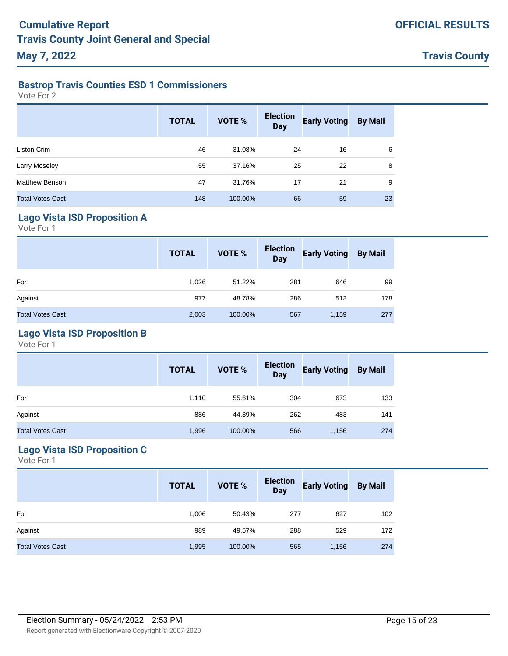# **Bastrop Travis Counties ESD 1 Commissioners**

Vote For 2

|                         | <b>TOTAL</b> | <b>VOTE %</b> | <b>Election</b><br><b>Day</b> | <b>Early Voting</b> | <b>By Mail</b> |
|-------------------------|--------------|---------------|-------------------------------|---------------------|----------------|
| Liston Crim             | 46           | 31.08%        | 24                            | 16                  | 6              |
| Larry Moseley           | 55           | 37.16%        | 25                            | 22                  | 8              |
| Matthew Benson          | 47           | 31.76%        | 17                            | 21                  | 9              |
| <b>Total Votes Cast</b> | 148          | 100.00%       | 66                            | 59                  | 23             |

# **Lago Vista ISD Proposition A**

Vote For 1

|                         | <b>TOTAL</b> | VOTE %  | <b>Election</b><br>Day | <b>Early Voting</b> | <b>By Mail</b> |
|-------------------------|--------------|---------|------------------------|---------------------|----------------|
| For                     | 1,026        | 51.22%  | 281                    | 646                 | 99             |
| Against                 | 977          | 48.78%  | 286                    | 513                 | 178            |
| <b>Total Votes Cast</b> | 2,003        | 100.00% | 567                    | 1,159               | 277            |

# **Lago Vista ISD Proposition B**

Vote For 1

|                         | <b>TOTAL</b> | <b>VOTE %</b> | <b>Election</b><br><b>Day</b> | <b>Early Voting</b> | <b>By Mail</b> |
|-------------------------|--------------|---------------|-------------------------------|---------------------|----------------|
| For                     | 1,110        | 55.61%        | 304                           | 673                 | 133            |
| Against                 | 886          | 44.39%        | 262                           | 483                 | 141            |
| <b>Total Votes Cast</b> | 1,996        | 100.00%       | 566                           | 1,156               | 274            |

### **Lago Vista ISD Proposition C**

|                         | <b>TOTAL</b> | <b>VOTE %</b> | <b>Election</b><br><b>Day</b> | <b>Early Voting</b> | <b>By Mail</b> |
|-------------------------|--------------|---------------|-------------------------------|---------------------|----------------|
| For                     | 1,006        | 50.43%        | 277                           | 627                 | 102            |
| Against                 | 989          | 49.57%        | 288                           | 529                 | 172            |
| <b>Total Votes Cast</b> | 1,995        | 100.00%       | 565                           | 1,156               | 274            |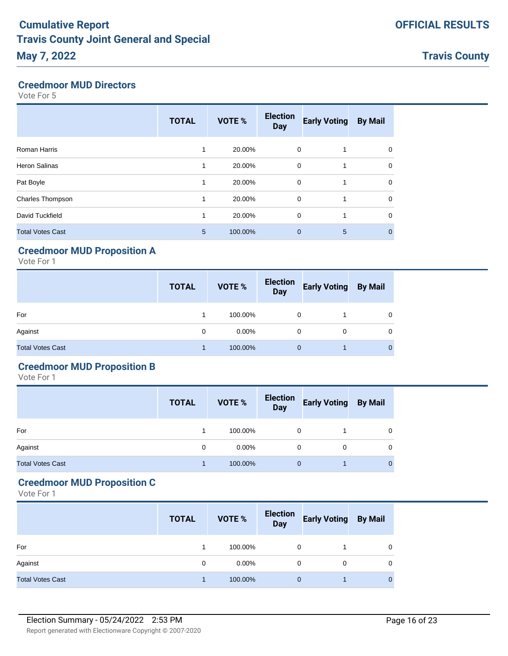#### **Creedmoor MUD Directors**

Vote For 5

|                         | <b>TOTAL</b> | VOTE %  | <b>Election</b><br><b>Day</b> | <b>Early Voting</b> | <b>By Mail</b> |
|-------------------------|--------------|---------|-------------------------------|---------------------|----------------|
| Roman Harris            | 1            | 20.00%  | 0                             |                     | 0              |
| <b>Heron Salinas</b>    | 1            | 20.00%  | $\mathbf 0$                   | 1                   | 0              |
| Pat Boyle               | 1            | 20.00%  | $\mathbf 0$                   | 1                   | 0              |
| Charles Thompson        | 1            | 20.00%  | $\mathbf 0$                   | 1                   | $\Omega$       |
| David Tuckfield         | 1            | 20.00%  | 0                             |                     | 0              |
| <b>Total Votes Cast</b> | 5            | 100.00% | $\overline{0}$                | 5                   | $\Omega$       |

## **Creedmoor MUD Proposition A**

Vote For 1

|                         | <b>TOTAL</b> | VOTE %   | Election<br>Day | <b>Early Voting By Mail</b> |             |
|-------------------------|--------------|----------|-----------------|-----------------------------|-------------|
| For                     |              | 100.00%  | $\Omega$        |                             | $\mathbf 0$ |
| Against                 | 0            | $0.00\%$ | 0               | 0                           | $\mathbf 0$ |
| <b>Total Votes Cast</b> |              | 100.00%  | $\mathbf{0}$    |                             | $\Omega$    |

# **Creedmoor MUD Proposition B**

Vote For 1

|                         | <b>TOTAL</b> | VOTE %   | Election<br>Day | <b>Early Voting By Mail</b> |              |
|-------------------------|--------------|----------|-----------------|-----------------------------|--------------|
| For                     |              | 100.00%  | $\Omega$        |                             | 0            |
| Against                 | 0            | $0.00\%$ | $\Omega$        | 0                           | 0            |
| <b>Total Votes Cast</b> |              | 100.00%  | $\Omega$        |                             | $\mathbf{0}$ |

## **Creedmoor MUD Proposition C**

|                         | <b>TOTAL</b> | <b>VOTE %</b> | <b>Election</b><br>Day | <b>Early Voting By Mail</b> |             |
|-------------------------|--------------|---------------|------------------------|-----------------------------|-------------|
| For                     |              | 100.00%       | 0                      |                             | 0           |
| Against                 | 0            | $0.00\%$      | 0                      | 0                           | 0           |
| <b>Total Votes Cast</b> |              | 100.00%       | $\mathbf{0}$           |                             | $\mathbf 0$ |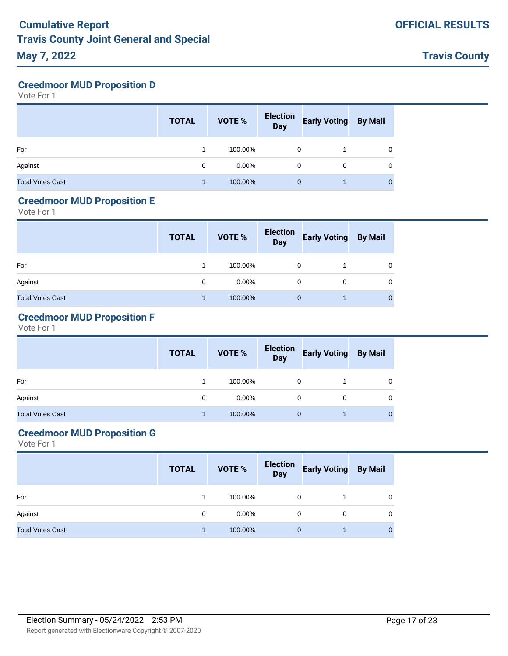**Creedmoor MUD Proposition D**

Vote For 1

|                         | <b>TOTAL</b> | <b>VOTE %</b> | <b>Election</b><br>Day | <b>Early Voting</b> | <b>By Mail</b> |
|-------------------------|--------------|---------------|------------------------|---------------------|----------------|
| For                     |              | 100.00%       | 0                      |                     |                |
| Against                 | 0            | $0.00\%$      | 0                      | 0                   |                |
| <b>Total Votes Cast</b> |              | 100.00%       | 0                      |                     |                |

#### **Creedmoor MUD Proposition E**

Vote For 1

|                         | <b>TOTAL</b> | VOTE %   | <b>Election</b><br><b>Day</b> | <b>Early Voting By Mail</b> |              |
|-------------------------|--------------|----------|-------------------------------|-----------------------------|--------------|
| For                     |              | 100.00%  | 0                             |                             | $\Omega$     |
| Against                 | $\Omega$     | $0.00\%$ | 0                             | 0                           | $\Omega$     |
| <b>Total Votes Cast</b> |              | 100.00%  | $\Omega$                      |                             | $\mathbf{0}$ |

## **Creedmoor MUD Proposition F**

Vote For 1

|                         | <b>TOTAL</b> | VOTE %   | Election<br>Day | <b>Early Voting By Mail</b> |              |
|-------------------------|--------------|----------|-----------------|-----------------------------|--------------|
| For                     |              | 100.00%  | 0               |                             | 0            |
| Against                 | 0            | $0.00\%$ | 0               |                             | 0            |
| <b>Total Votes Cast</b> |              | 100.00%  | $\Omega$        |                             | $\mathbf{0}$ |

### **Creedmoor MUD Proposition G**

|                         | <b>TOTAL</b> | <b>VOTE %</b> | <b>Election</b><br><b>Day</b> | <b>Early Voting By Mail</b> |   |
|-------------------------|--------------|---------------|-------------------------------|-----------------------------|---|
| For                     |              | 100.00%       | 0                             |                             | 0 |
| Against                 | 0            | $0.00\%$      | $\Omega$                      | 0                           | 0 |
| <b>Total Votes Cast</b> |              | 100.00%       | $\Omega$                      |                             | 0 |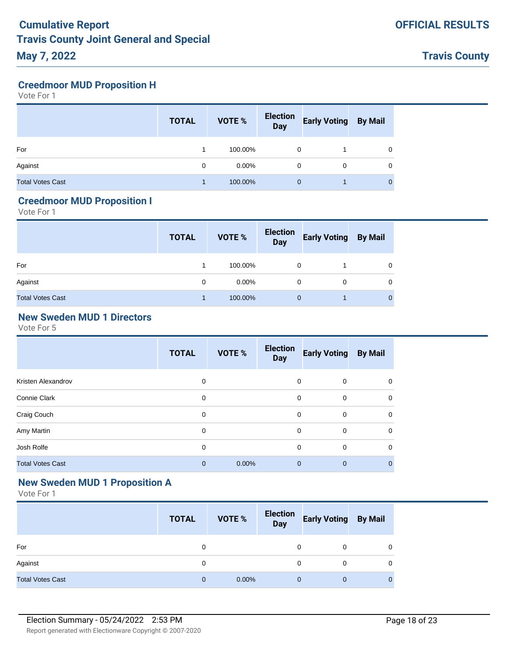**Creedmoor MUD Proposition H**

Vote For 1

|                         | <b>TOTAL</b> | <b>VOTE %</b> | <b>Election</b><br>Day | <b>Early Voting</b> | <b>By Mail</b> |
|-------------------------|--------------|---------------|------------------------|---------------------|----------------|
| For                     |              | 100.00%       | 0                      |                     |                |
| Against                 | 0            | $0.00\%$      | 0                      | 0                   |                |
| <b>Total Votes Cast</b> |              | 100.00%       | 0                      |                     |                |

#### **Creedmoor MUD Proposition I**

Vote For 1

|                         | <b>TOTAL</b> | VOTE %   | <b>Election</b><br>Day | <b>Early Voting By Mail</b> |              |
|-------------------------|--------------|----------|------------------------|-----------------------------|--------------|
| For                     |              | 100.00%  | 0                      |                             | 0            |
| Against                 | 0            | $0.00\%$ | 0                      | 0                           | 0            |
| <b>Total Votes Cast</b> |              | 100.00%  | $\Omega$               |                             | $\mathbf{0}$ |

## **New Sweden MUD 1 Directors**

Vote For 5

|                         | <b>TOTAL</b> | VOTE % | <b>Election</b><br><b>Day</b> | <b>Early Voting</b> | <b>By Mail</b> |
|-------------------------|--------------|--------|-------------------------------|---------------------|----------------|
| Kristen Alexandrov      | 0            |        | 0                             | 0                   | 0              |
| Connie Clark            | $\mathbf 0$  |        | $\mathbf 0$                   | $\mathbf 0$         | $\mathbf 0$    |
| Craig Couch             | 0            |        | 0                             | 0                   | $\mathbf 0$    |
| Amy Martin              | 0            |        | 0                             | $\mathbf 0$         | 0              |
| Josh Rolfe              | $\mathbf 0$  |        | $\mathbf 0$                   | $\mathbf 0$         | $\mathbf 0$    |
| <b>Total Votes Cast</b> | $\mathbf{0}$ | 0.00%  | $\mathbf{0}$                  | $\mathbf 0$         | $\mathbf 0$    |

# **New Sweden MUD 1 Proposition A**

|                         | <b>TOTAL</b> | <b>VOTE %</b> | Election<br>Day | <b>Early Voting By Mail</b> |                |
|-------------------------|--------------|---------------|-----------------|-----------------------------|----------------|
| For                     | 0            |               | 0               | 0                           | 0              |
| Against                 | 0            |               | $\Omega$        | 0                           | 0              |
| <b>Total Votes Cast</b> | $\mathbf{0}$ | $0.00\%$      | $\mathbf{0}$    | 0                           | $\overline{0}$ |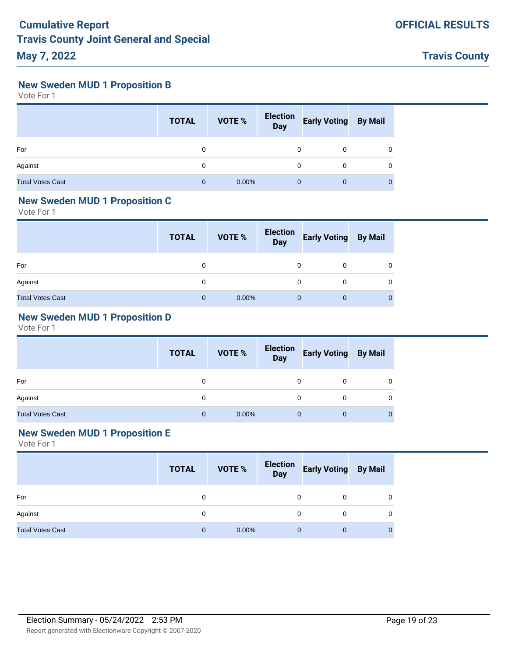**New Sweden MUD 1 Proposition B**

Vote For 1

|                         | <b>TOTAL</b> | VOTE % | <b>Election</b><br><b>Day</b> | <b>Early Voting By Mail</b> |   |
|-------------------------|--------------|--------|-------------------------------|-----------------------------|---|
| For                     | 0            |        |                               | 0                           | 0 |
| Against                 | 0            |        | 0                             | $\Omega$                    |   |
| <b>Total Votes Cast</b> | 0            | 0.00%  |                               | $\mathbf{0}$                |   |

#### **New Sweden MUD 1 Proposition C**

Vote For 1

|                         | <b>TOTAL</b> | VOTE %   | Election<br>Day | <b>Early Voting By Mail</b> |              |
|-------------------------|--------------|----------|-----------------|-----------------------------|--------------|
| For                     | 0            |          | 0               | 0                           | 0            |
| Against                 | 0            |          | 0               | 0                           | 0            |
| <b>Total Votes Cast</b> | $\Omega$     | $0.00\%$ | 0               | 0                           | $\mathbf{0}$ |

# **New Sweden MUD 1 Proposition D**

Vote For 1

|                         | <b>TOTAL</b> | VOTE %   | Election<br>Day | <b>Early Voting By Mail</b> |  |
|-------------------------|--------------|----------|-----------------|-----------------------------|--|
| For                     | 0            |          | U               | 0                           |  |
| Against                 | 0            |          |                 | 0                           |  |
| <b>Total Votes Cast</b> | $\mathbf 0$  | $0.00\%$ | 0               | 0                           |  |

### **New Sweden MUD 1 Proposition E**

|                         | <b>TOTAL</b> | VOTE %   | <b>Election</b><br>Day | <b>Early Voting By Mail</b> |  |
|-------------------------|--------------|----------|------------------------|-----------------------------|--|
| For                     | 0            |          |                        | 0                           |  |
| Against                 | 0            |          | 0                      | 0                           |  |
| <b>Total Votes Cast</b> | $\mathbf{0}$ | $0.00\%$ | $\mathbf 0$            | $\mathbf 0$                 |  |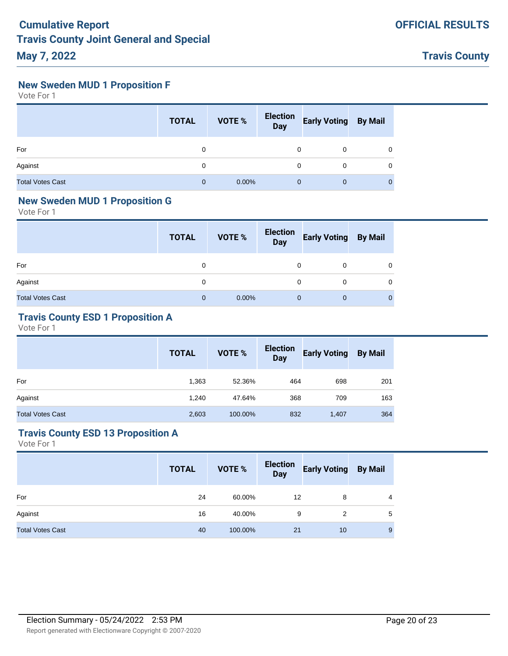**New Sweden MUD 1 Proposition F**

Vote For 1

|                         | <b>TOTAL</b> | <b>VOTE %</b> | Election<br>Day | <b>Early Voting By Mail</b> |   |
|-------------------------|--------------|---------------|-----------------|-----------------------------|---|
| For                     | 0            |               | 0               | 0                           | 0 |
| Against                 | 0            |               | 0               | 0                           | 0 |
| <b>Total Votes Cast</b> | 0            | 0.00%         | $\Omega$        | $\Omega$                    |   |

#### **New Sweden MUD 1 Proposition G**

Vote For 1

|                         | <b>TOTAL</b> | VOTE %   | Election<br>Day | <b>Early Voting By Mail</b> |              |
|-------------------------|--------------|----------|-----------------|-----------------------------|--------------|
| For                     | 0            |          | 0               | 0                           | 0            |
| Against                 | 0            |          | 0               | 0                           | 0            |
| <b>Total Votes Cast</b> | $\mathbf{0}$ | $0.00\%$ | $\mathbf 0$     | $\mathbf 0$                 | $\mathbf{0}$ |

# **Travis County ESD 1 Proposition A**

Vote For 1

|                         | <b>TOTAL</b> | <b>VOTE %</b> | <b>Election</b><br><b>Day</b> | <b>Early Voting</b> | <b>By Mail</b> |
|-------------------------|--------------|---------------|-------------------------------|---------------------|----------------|
| For                     | 1,363        | 52.36%        | 464                           | 698                 | 201            |
| Against                 | 1.240        | 47.64%        | 368                           | 709                 | 163            |
| <b>Total Votes Cast</b> | 2,603        | 100.00%       | 832                           | 1,407               | 364            |

### **Travis County ESD 13 Proposition A**

|                         | <b>TOTAL</b> | <b>VOTE %</b> | Election<br>Day | <b>Early Voting</b> | <b>By Mail</b> |
|-------------------------|--------------|---------------|-----------------|---------------------|----------------|
| For                     | 24           | 60.00%        | 12              | 8                   | 4              |
| Against                 | 16           | 40.00%        | 9               | 2                   | 5              |
| <b>Total Votes Cast</b> | 40           | 100.00%       | 21              | 10                  | 9              |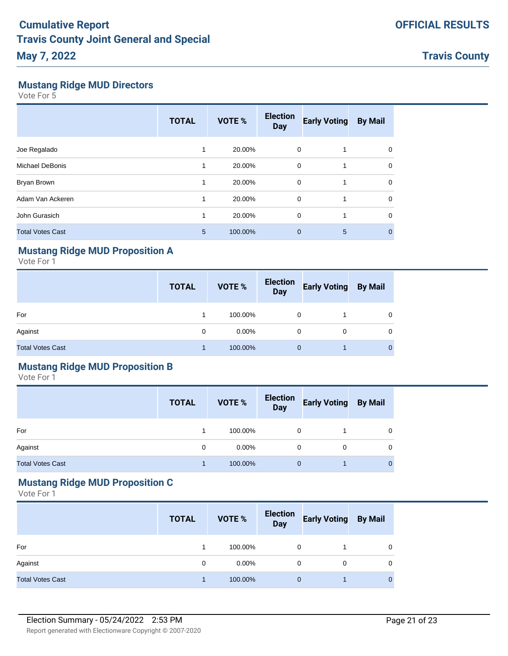### **Mustang Ridge MUD Directors**

Vote For 5

|                         | <b>TOTAL</b> | VOTE %  | <b>Election</b><br><b>Day</b> | <b>Early Voting</b> | <b>By Mail</b> |
|-------------------------|--------------|---------|-------------------------------|---------------------|----------------|
| Joe Regalado            |              | 20.00%  | 0                             |                     | 0              |
| <b>Michael DeBonis</b>  | 1            | 20.00%  | $\Omega$                      | 1                   | 0              |
| Bryan Brown             | 1            | 20.00%  | 0                             |                     | 0              |
| Adam Van Ackeren        | 1            | 20.00%  | $\Omega$                      |                     | 0              |
| John Gurasich           |              | 20.00%  | 0                             |                     | 0              |
| <b>Total Votes Cast</b> | 5            | 100.00% | $\mathbf{0}$                  | 5                   | 0              |

### **Mustang Ridge MUD Proposition A**

Vote For 1

|                         | <b>TOTAL</b> | VOTE %   | Election<br>Day | <b>Early Voting By Mail</b> |          |
|-------------------------|--------------|----------|-----------------|-----------------------------|----------|
| For                     |              | 100.00%  | 0               |                             | 0        |
| Against                 | 0            | $0.00\%$ | 0               | 0                           | 0        |
| <b>Total Votes Cast</b> |              | 100.00%  | $\Omega$        |                             | $\Omega$ |

## **Mustang Ridge MUD Proposition B**

Vote For 1

|                         | <b>TOTAL</b> | <b>VOTE %</b> | Election<br>Day | <b>Early Voting By Mail</b> |                |
|-------------------------|--------------|---------------|-----------------|-----------------------------|----------------|
| For                     |              | 100.00%       | 0               |                             | 0              |
| Against                 | 0            | $0.00\%$      | 0               | 0                           | 0              |
| <b>Total Votes Cast</b> |              | 100.00%       | $\Omega$        |                             | $\overline{0}$ |

#### **Mustang Ridge MUD Proposition C**

|                         | <b>TOTAL</b> | <b>VOTE %</b> | <b>Election</b><br>Day | <b>Early Voting By Mail</b> |             |
|-------------------------|--------------|---------------|------------------------|-----------------------------|-------------|
| For                     |              | 100.00%       | 0                      |                             | 0           |
| Against                 | 0            | $0.00\%$      | 0                      | 0                           | 0           |
| <b>Total Votes Cast</b> |              | 100.00%       | $\mathbf{0}$           |                             | $\mathbf 0$ |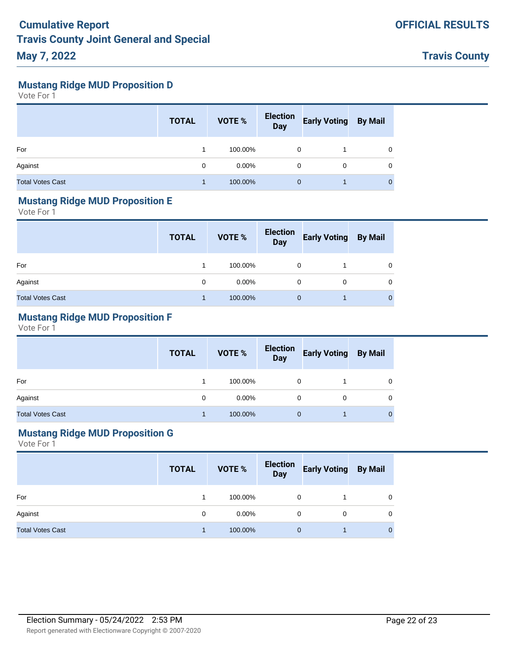**Mustang Ridge MUD Proposition D**

Vote For 1

|                         | <b>TOTAL</b> | <b>VOTE %</b> | <b>Election</b><br><b>Day</b> | <b>Early Voting</b> | <b>By Mail</b> |
|-------------------------|--------------|---------------|-------------------------------|---------------------|----------------|
| For                     |              | 100.00%       | 0                             |                     | 0              |
| Against                 | 0            | $0.00\%$      | 0                             | 0                   | 0              |
| <b>Total Votes Cast</b> |              | 100.00%       | $\Omega$                      |                     | $\Omega$       |

#### **Mustang Ridge MUD Proposition E**

Vote For 1

|                         | <b>TOTAL</b> | VOTE %   | Election<br>Day | <b>Early Voting By Mail</b> |          |
|-------------------------|--------------|----------|-----------------|-----------------------------|----------|
| For                     |              | 100.00%  | 0               |                             | $\Omega$ |
| Against                 | 0            | $0.00\%$ | 0               | 0                           | $\Omega$ |
| <b>Total Votes Cast</b> |              | 100.00%  | $\Omega$        |                             | 0        |

### **Mustang Ridge MUD Proposition F**

Vote For 1

|                         | <b>TOTAL</b> | VOTE %   | Election<br>Day | <b>Early Voting By Mail</b> |          |
|-------------------------|--------------|----------|-----------------|-----------------------------|----------|
| For                     |              | 100.00%  | 0               |                             | 0        |
| Against                 | 0            | $0.00\%$ | 0               | 0                           |          |
| <b>Total Votes Cast</b> |              | 100.00%  | $\Omega$        |                             | $\Omega$ |

#### **Mustang Ridge MUD Proposition G**

|                         | <b>TOTAL</b> | <b>VOTE %</b> | Election<br>Day | <b>Early Voting</b> | <b>By Mail</b> |
|-------------------------|--------------|---------------|-----------------|---------------------|----------------|
| For                     |              | 100.00%       | 0               |                     |                |
| Against                 | 0            | $0.00\%$      | 0               | 0                   | 0              |
| <b>Total Votes Cast</b> |              | 100.00%       | $\Omega$        |                     |                |